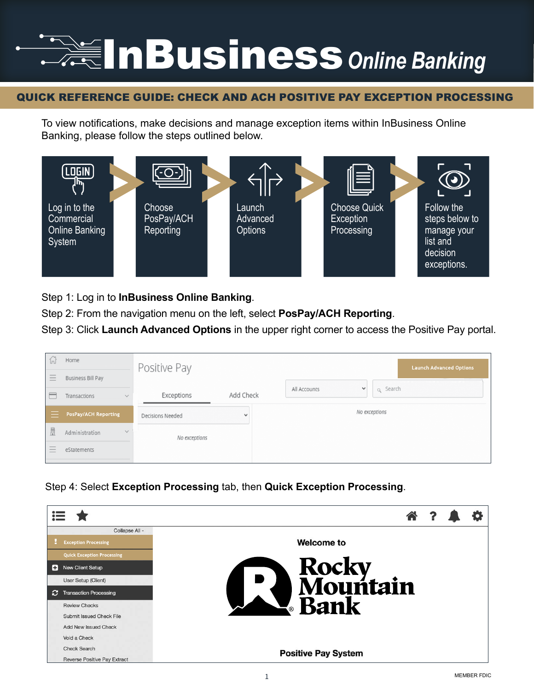## InBusiness*Online Banking*

## QUICK REFERENCE GUIDE: CHECK AND ACH POSITIVE PAY EXCEPTION PROCESSING

To view notifications, make decisions and manage exception items within InBusiness Online Banking, please follow the steps outlined below.



Step 1: Log in to **InBusiness Online Banking**.

Step 2: From the navigation menu on the left, select **PosPay/ACH Reporting**.

Step 3: Click **Launch Advanced Options** in the upper right corner to access the Positive Pay portal.

| ĺп                           | Home                        | Positive Pay     |           | <b>Launch Advanced Options</b>          |
|------------------------------|-----------------------------|------------------|-----------|-----------------------------------------|
| Ξ                            | <b>Business Bill Pay</b>    |                  |           |                                         |
| $\overline{ }$               | Transactions<br>$\vee$      | Exceptions       | Add Check | q Search<br>All Accounts<br>$\check{ }$ |
|                              | <b>PosPay/ACH Reporting</b> | Decisions Needed |           | No exceptions                           |
| 眉                            | $\vee$<br>Administration    | No exceptions    |           |                                         |
| -<br>$\hspace{0.5cm}$<br>$-$ | eStatements                 |                  |           |                                         |

Step 4: Select **Exception Processing** tab, then **Quick Exception Processing**.

|   | Collapse All -                    |                            |  |  |
|---|-----------------------------------|----------------------------|--|--|
|   | <b>Exception Processing</b>       | <b>Welcome to</b>          |  |  |
|   | <b>Quick Exception Processing</b> |                            |  |  |
| Ð | New Client Setup                  | Rocky<br>Mountain          |  |  |
|   | User Setup (Client)               | $\overline{\phantom{a}}$   |  |  |
| Ð | <b>Transaction Processing</b>     |                            |  |  |
|   | <b>Review Checks</b>              | <b>E</b> Bank              |  |  |
|   | Submit Issued Check File          |                            |  |  |
|   | Add New Issued Check              |                            |  |  |
|   | Void a Check                      |                            |  |  |
|   | <b>Check Search</b>               |                            |  |  |
|   | Reverse Positive Pay Extract      | <b>Positive Pay System</b> |  |  |